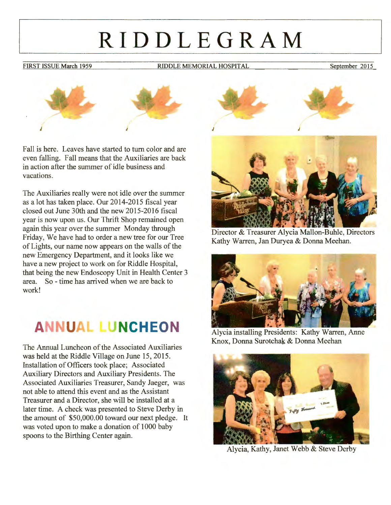# **RIDDLEGRAM**

FIRST ISSUE March 1959 RIDDLE MEMORIAL HOSPITAL September 2015



Fall is here. Leaves have started to tum color and are even falling. Fall means that the Auxiliaries are back in action after the summer of idle business and vacations.

The Auxiliaries really were not idle over the summer as a lot has taken place. Our 2014-2015 fiscal year closed out June 30th and the new 2015-2016 fiscal year is now upon us. Our Thrift Shop remained open again this year over the summer Monday through Friday, We have had to order a new tree for our Tree of Lights, our name now appears on the walls of the new Emergency Department, and it looks like we have a new project to work on for Riddle Hospital, that being the new Endoscopy Unit in Health Center 3 area. So - time has arrived when we are back to work!

## **ANNUAL LUNCHEON**

The Annual Luncheon of the Associated Auxiliaries was held at the Riddle Village on June 15, 2015. Installation of Officers took place; Associated Auxiliary Directors and Auxiliary Presidents. The Associated Auxiliaries Treasurer, Sandy Jaeger, was not able to attend this event and as the Assistant Treasurer and a Director, she will be installed at a later time. A check was presented to Steve Derby in the amount of \$50,000.00 toward our next pledge. It was voted upon to make a donation of 1000 baby spoons to the Birthing Center again.





Director & Treasurer Alycia Mallon-Buhle, Directors Kathy Warren, Jan Duryea & Donna Meehan.



Alycia installing Presidents: Kathy Warren, Anne Knox, Donna Surotchak & Donna Meehan



Alycia, Kathy, Janet Webb & Steve Derby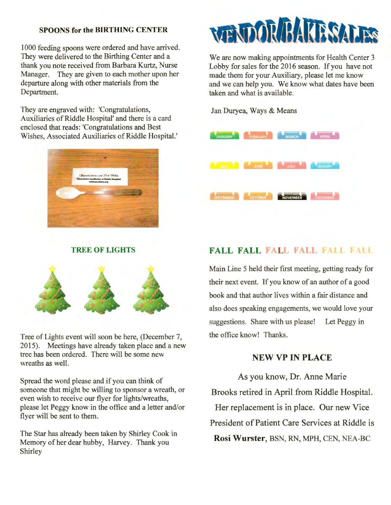#### **SPOONS for the BIRTHING CENTER**

1000 feeding spoons were ordered and have arrived. They were delivered to the Birthing Center and a thank you note received from Barbara Kurtz, Nurse Manager. They are given to each mother upon her departure along with other materials from the Department.

They are engraved with: 'Congratulations, Auxiliaries of Riddle Hospital' and there is a card enclosed that reads: 'Congratulations and Best Wishes, Associated Auxiliaries of Riddle Hospital.'



#### **TREE OF LIGHTS**



Tree of Lights event will soon be here, (December 7, 2015). Meetings have already taken place and a new tree has been ordered. There will be some new wreaths as well.

Spread the word please and if you can think of someone that might be willing to sponsor a wreath, or even wish to receive our flyer for lights/wreaths, please let Peggy know in the office and a letter and/or flyer will be sent to them.

The Star has already been taken by Shirley Cook in Memory of her dear hubby, Harvey. Thank you Shirley



We are now making appointments for Health Center 3 Lobby for sales for the 2016 season. If you have not made them for your Auxiliary, please let me know and we can help you. We know what dates have been taken and what is available.

Jan Duryea, Ways & Means



#### **FALL FALL FALL FALL FALL**

Main Line 5 held their first meeting, getting ready for their next event. If you know of an author of a good book and that author lives within a fair distance and also does speaking engagements, we would love your suggestions. Share with us please! Let Peggy in the office know! Thanks.

#### **NEW VP IN PLACE**

As you know, Dr. Anne Marie Brooks retired in April from Riddle Hospital. Her replacement is in place. Our new Vice President of Patient Care Services at Riddle is **Rosi Wurster,** BSN, RN, MPH, CEN, NEA-BC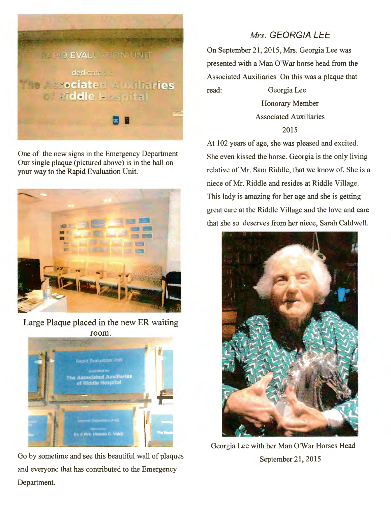

One of the new signs in the Emergency Department Our single plaque (pictured above) is in the hall on your way to the Rapid Evaluation Unit.



Large Plaque placed in the new ER waiting room.



Go by sometime and see this beautiful wall of plaques and everyone that has contributed to the Emergency Department.

#### *Mrs.* **GEORGIA LEE**

On September 21, 2015, Mrs. Georgia Lee was presented with a Man O'War horse head from the Associated Auxiliaries On this was a plaque that read: Georgia Lee

> Honorary Member Associated Auxiliaries 2015

At 102 years of age, she was pleased and excited. She even kissed the horse. Georgia is the only living relative of Mr. Sam Riddle, that we know of. She is a niece of Mr. Riddle and resides at Riddle Village. This lady is amazing for her age and she is getting great care at the Riddle Village and the love and care that she so deserves from her niece, Sarah Caldwell.



Georgia Lee with her Man O'War Horses Head September 21, 2015